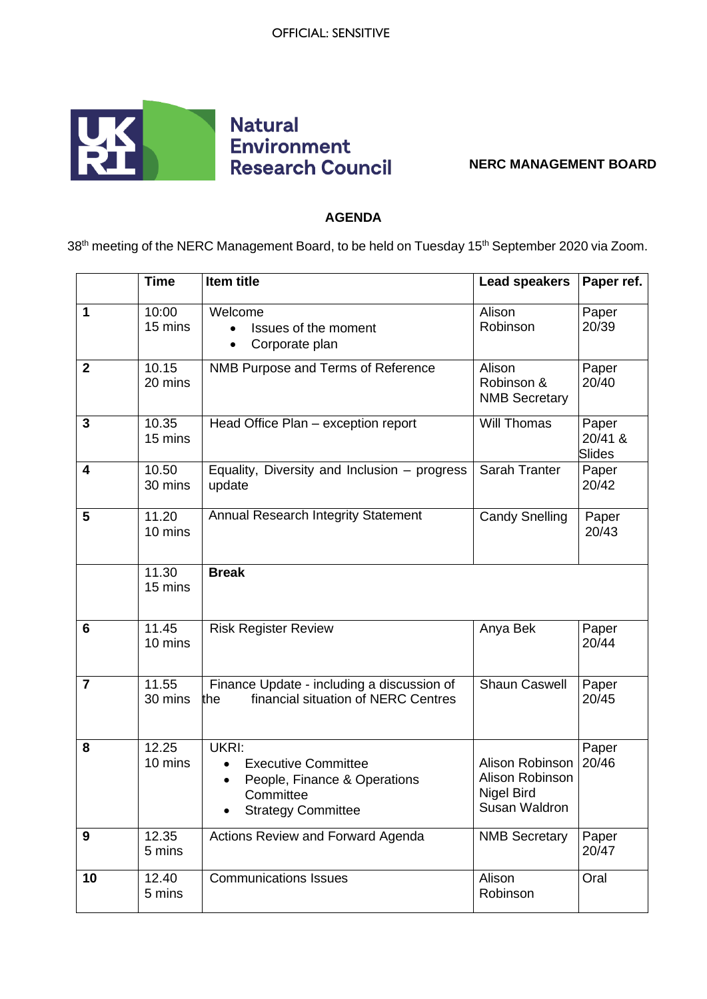

## **NERC MANAGEMENT BOARD**

## **AGENDA**

38<sup>th</sup> meeting of the NERC Management Board, to be held on Tuesday 15<sup>th</sup> September 2020 via Zoom.

|                | <b>Time</b>      | Item title                                                                                                    | <b>Lead speakers</b>                                                     | Paper ref.                        |
|----------------|------------------|---------------------------------------------------------------------------------------------------------------|--------------------------------------------------------------------------|-----------------------------------|
| 1              | 10:00<br>15 mins | Welcome<br>Issues of the moment<br>Corporate plan                                                             | Alison<br>Robinson                                                       | Paper<br>20/39                    |
| $\mathbf{2}$   | 10.15<br>20 mins | NMB Purpose and Terms of Reference                                                                            | Alison<br>Robinson &<br><b>NMB Secretary</b>                             | Paper<br>20/40                    |
| 3              | 10.35<br>15 mins | Head Office Plan - exception report                                                                           | Will Thomas                                                              | Paper<br>20/41 &<br><b>Slides</b> |
| 4              | 10.50<br>30 mins | Equality, Diversity and Inclusion – progress<br>update                                                        | Sarah Tranter                                                            | Paper<br>20/42                    |
| 5              | 11.20<br>10 mins | Annual Research Integrity Statement                                                                           | <b>Candy Snelling</b>                                                    | Paper<br>20/43                    |
|                | 11.30<br>15 mins | <b>Break</b>                                                                                                  |                                                                          |                                   |
| 6              | 11.45<br>10 mins | <b>Risk Register Review</b>                                                                                   | Anya Bek                                                                 | Paper<br>20/44                    |
| $\overline{7}$ | 11.55<br>30 mins | Finance Update - including a discussion of<br>financial situation of NERC Centres<br>the                      | <b>Shaun Caswell</b>                                                     | Paper<br>20/45                    |
| 8              | 12.25<br>10 mins | UKRI:<br><b>Executive Committee</b><br>People, Finance & Operations<br>Committee<br><b>Strategy Committee</b> | Alison Robinson<br>Alison Robinson<br><b>Nigel Bird</b><br>Susan Waldron | Paper<br>20/46                    |
| 9              | 12.35<br>5 mins  | Actions Review and Forward Agenda                                                                             | <b>NMB Secretary</b>                                                     | Paper<br>20/47                    |
| 10             | 12.40<br>5 mins  | <b>Communications Issues</b>                                                                                  | Alison<br>Robinson                                                       | Oral                              |